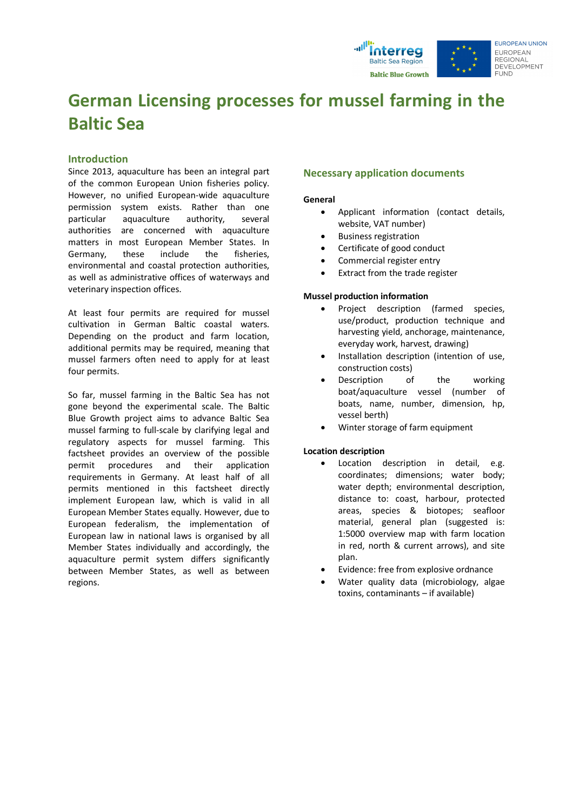

## **German Licensing processes for mussel farming in the Baltic Sea**

#### **Introduction**

Since 2013, aquaculture has been an integral part of the common European Union fisheries policy. However, no unified European-wide aquaculture permission system exists. Rather than one particular aquaculture authority, several authorities are concerned with aquaculture matters in most European Member States. In Germany, these include the fisheries, environmental and coastal protection authorities, as well as administrative offices of waterways and veterinary inspection offices.

At least four permits are required for mussel cultivation in German Baltic coastal waters. Depending on the product and farm location, additional permits may be required, meaning that mussel farmers often need to apply for at least four permits.

So far, mussel farming in the Baltic Sea has not gone beyond the experimental scale. The Baltic Blue Growth project aims to advance Baltic Sea mussel farming to full-scale by clarifying legal and regulatory aspects for mussel farming. This factsheet provides an overview of the possible permit procedures and their application requirements in Germany. At least half of all permits mentioned in this factsheet directly implement European law, which is valid in all European Member States equally. However, due to European federalism, the implementation of European law in national laws is organised by all Member States individually and accordingly, the aquaculture permit system differs significantly between Member States, as well as between regions.

#### **Necessary application documents**

#### **General**

- Applicant information (contact details, website, VAT number)
- Business registration
- Certificate of good conduct
- Commercial register entry
- Extract from the trade register

#### **Mussel production information**

- Project description (farmed species, use/product, production technique and harvesting yield, anchorage, maintenance, everyday work, harvest, drawing)
- Installation description (intention of use, construction costs)
- Description of the working boat/aquaculture vessel (number of boats, name, number, dimension, hp, vessel berth)
- Winter storage of farm equipment

#### **Location description**

- Location description in detail, e.g. coordinates; dimensions; water body; water depth; environmental description, distance to: coast, harbour, protected areas, species & biotopes; seafloor material, general plan (suggested is: 1:5000 overview map with farm location in red, north & current arrows), and site plan.
- Evidence: free from explosive ordnance
- Water quality data (microbiology, algae toxins, contaminants – if available)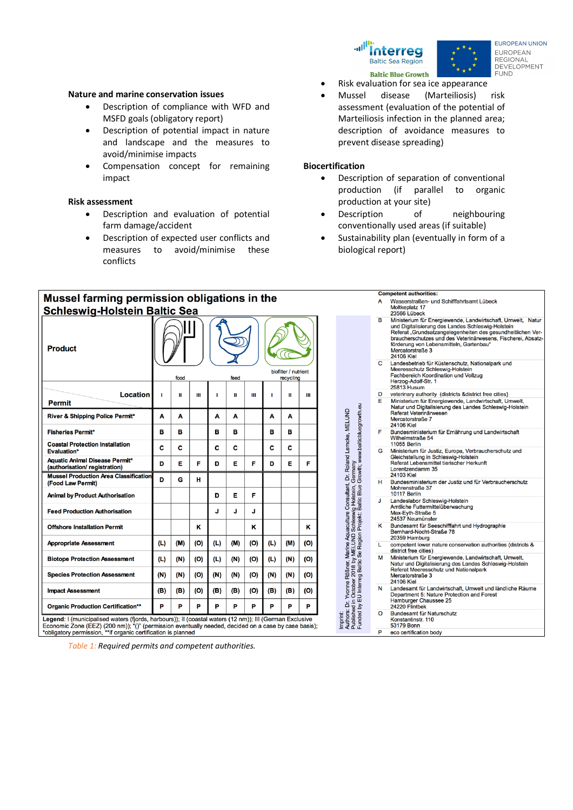



**FUROPEAN UNION** EUROPEAN **REGIONAL** DEVELOPMENT **FUND** 

- Risk evaluation for sea ice appearance
- Mussel disease (Marteiliosis) risk assessment (evaluation of the potential of Marteiliosis infection in the planned area; description of avoidance measures to prevent disease spreading)

#### **Biocertification**

- Description of separation of conventional production (if parallel to organic production at your site)
- Description of neighbouring conventionally used areas (if suitable)
- Sustainability plan (eventually in form of a biological report)



*Table 1: Required permits and competent authorities.*

#### **Nature and marine conservation issues**

- Description of compliance with WFD and MSFD goals (obligatory report)
- Description of potential impact in nature and landscape and the measures to avoid/minimise impacts
- Compensation concept for remaining impact

#### **Risk assessment**

- Description and evaluation of potential farm damage/accident
- Description of expected user conflicts and measures to avoid/minimise these conflicts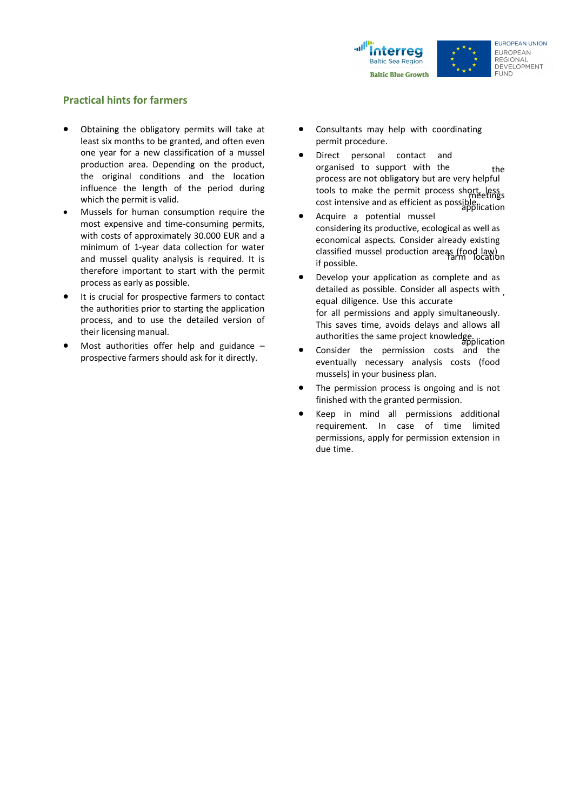

#### **FUROPEAN UNION** EUROPEAN **REGIONAL DEVELOPMENT** FUND.

### **Practical hints for farmers**

- Obtaining the obligatory permits will take at least six months to be granted, and often even one year for a new classification of a mussel production area. Depending on the product, the original conditions and the location influence the length of the period during which the permit is valid.
- Mussels for human consumption require the most expensive and time-consuming permits, with costs of approximately 30.000 EUR and a minimum of 1-year data collection for water and mussel quality analysis is required. It is therefore important to start with the permit process as early as possible.
- It is crucial for prospective farmers to contact the authorities prior to starting the application process, and to use the detailed version of their licensing manual.
- Most authorities offer help and guidance  $$ prospective farmers should ask for it directly.
- Consultants may help with coordinating permit procedure.
- the Direct personal contact and meetings organised to support with the cost intensive and as efficient as possible.component process are not obligatory but are very helpful tools to make the permit process short, less
- Acquire a potential mussel classified mussel production areas (food law) considering its productive, ecological as well as economical aspects. Consider already existing if possible.
- detailed as possible. Consider all aspects with, • Develop your application as complete and as equal diligence. Use this accurate authorities the same project knowledge. for all permissions and apply simultaneously. This saves time, avoids delays and allows all
- Consider the permission costs and the eventually necessary analysis costs (food mussels) in your business plan.
- The permission process is ongoing and is not finished with the granted permission.
- Keep in mind all permissions additional requirement. In case of time limited permissions, apply for permission extension in due time.